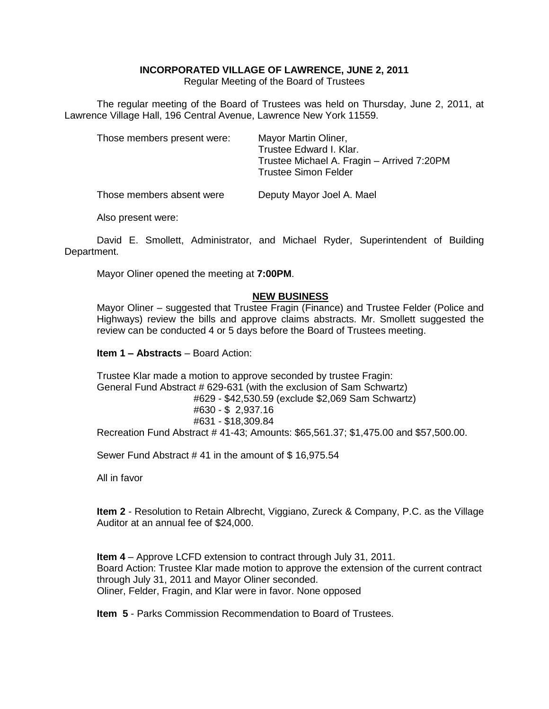# **INCORPORATED VILLAGE OF LAWRENCE, JUNE 2, 2011**

Regular Meeting of the Board of Trustees

The regular meeting of the Board of Trustees was held on Thursday, June 2, 2011, at Lawrence Village Hall, 196 Central Avenue, Lawrence New York 11559.

| Those members present were: | Mayor Martin Oliner,<br>Trustee Edward I. Klar.<br>Trustee Michael A. Fragin - Arrived 7:20PM<br><b>Trustee Simon Felder</b> |
|-----------------------------|------------------------------------------------------------------------------------------------------------------------------|
| Those members absent were   | Deputy Mayor Joel A. Mael                                                                                                    |

Also present were:

David E. Smollett, Administrator, and Michael Ryder, Superintendent of Building Department.

Mayor Oliner opened the meeting at **7:00PM**.

# **NEW BUSINESS**

Mayor Oliner – suggested that Trustee Fragin (Finance) and Trustee Felder (Police and Highways) review the bills and approve claims abstracts. Mr. Smollett suggested the review can be conducted 4 or 5 days before the Board of Trustees meeting.

#### **Item 1 – Abstracts** – Board Action:

Trustee Klar made a motion to approve seconded by trustee Fragin: General Fund Abstract # 629-631 (with the exclusion of Sam Schwartz) #629 - \$42,530.59 (exclude \$2,069 Sam Schwartz) #630 - \$ 2,937.16 #631 - \$18,309.84 Recreation Fund Abstract # 41-43; Amounts: \$65,561.37; \$1,475.00 and \$57,500.00.

Sewer Fund Abstract # 41 in the amount of \$ 16,975.54

All in favor

**Item 2** - Resolution to Retain Albrecht, Viggiano, Zureck & Company, P.C. as the Village Auditor at an annual fee of \$24,000.

**Item 4** – Approve LCFD extension to contract through July 31, 2011. Board Action: Trustee Klar made motion to approve the extension of the current contract through July 31, 2011 and Mayor Oliner seconded. Oliner, Felder, Fragin, and Klar were in favor. None opposed

**Item 5** - Parks Commission Recommendation to Board of Trustees.